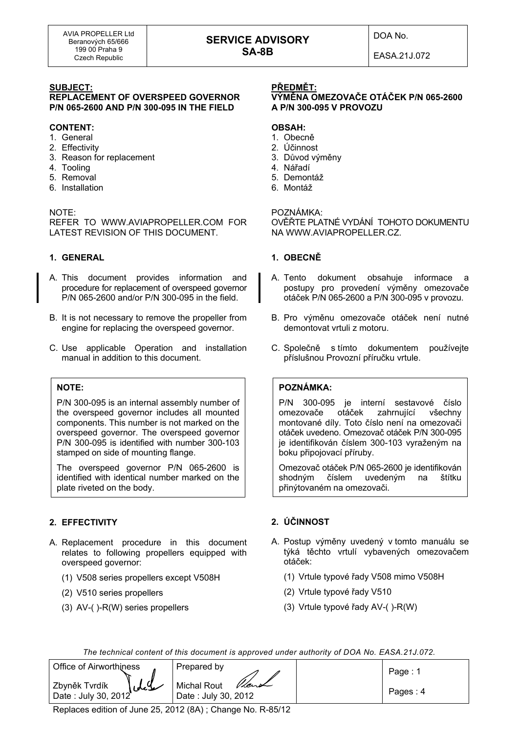# **SERVICE ADVISORY SA-8B**

DOA No.

EASA.21J.072

#### **SUBJECT:**

**REPLACEMENT OF OVERSPEED GOVERNOR P/N 065-2600 AND P/N 300-095 IN THE FIELD** 

#### **CONTENT:**

- 1. General
- 2. Effectivity
- 3. Reason for replacement
- 4. Tooling
- 5. Removal
- 6. Installation

#### NOTE:

REFER TO WWW.AVIAPROPELLER.COM FOR LATEST REVISION OF THIS DOCUMENT.

## **1. GENERAL**

- A. This document provides information and procedure for replacement of overspeed governor P/N 065-2600 and/or P/N 300-095 in the field.
- B. It is not necessary to remove the propeller from engine for replacing the overspeed governor.
- C. Use applicable Operation and installation manual in addition to this document.

#### **NOTE:**

P/N 300-095 is an internal assembly number of the overspeed governor includes all mounted components. This number is not marked on the overspeed governor. The overspeed governor P/N 300-095 is identified with number 300-103 stamped on side of mounting flange.

The overspeed governor P/N 065-2600 is identified with identical number marked on the plate riveted on the body.

# **2. EFFECTIVITY**

- A. Replacement procedure in this document relates to following propellers equipped with overspeed governor:
	- (1) V508 series propellers except V508H
	- (2) V510 series propellers
	- (3) AV-( )-R(W) series propellers

# **PŘEDMĚT:**

# **VÝMĚNA OMEZOVAČE OTÁČEK P/N 065-2600 A P/N 300-095 V PROVOZU**

#### **OBSAH:**

- 1. Obecně
- 2. Účinnost
- 3. Důvod výměny
- 4. Nářadí
- 5. Demontáž
- 6. Montáž

# POZNÁMKA:

OVĚŘTE PLATNÉ VYDÁNÍ TOHOTO DOKUMENTU NA WWW.AVIAPROPELLER.CZ.

#### **1. OBECNĚ**

- A. Tento dokument obsahuje informace a postupy pro provedení výměny omezovače otáček P/N 065-2600 a P/N 300-095 v provozu.
- B. Pro výměnu omezovače otáček není nutné demontovat vrtuli z motoru.
- C. Společně s tímto dokumentem používejte příslušnou Provozní příručku vrtule.

# **POZNÁMKA:**

P/N 300-095 je interní sestavové číslo omezovače otáček zahrnující všechny montované díly. Toto číslo není na omezovači otáček uvedeno. Omezovač otáček P/N 300-095 je identifikován číslem 300-103 vyraženým na boku připojovací příruby.

Omezovač otáček P/N 065-2600 je identifikován shodným číslem uvedeným na štítku přinýtovaném na omezovači.

# **2. ÚČINNOST**

- A. Postup výměny uvedený v tomto manuálu se týká těchto vrtulí vybavených omezovačem otáček:
	- (1) Vrtule typové řady V508 mimo V508H
	- (2) Vrtule typové řady V510
	- (3) Vrtule typové řady AV-( )-R(W)

*The technical content of this document is approved under authority of DOA No. EASA.21J.072.* 

| Office of Airworthiness                               | Prepared by                                 | Page: $1$ |
|-------------------------------------------------------|---------------------------------------------|-----------|
| $\mathcal{L}$<br>Zbyněk Tvrdík<br>Date: July 30, 2012 | Michal Rout<br>Vient<br>Date: July 30, 2012 | Pages: 4  |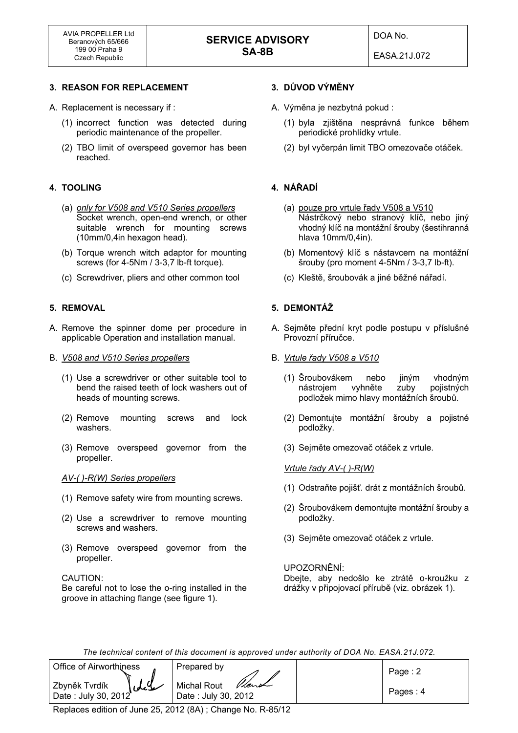EASA.21J.072

# **3. REASON FOR REPLACEMENT**

- A. Replacement is necessary if :
	- (1) incorrect function was detected during periodic maintenance of the propeller.
	- (2) TBO limit of overspeed governor has been reached.

# **4. TOOLING**

- (a) *only for V508 and V510 Series propellers* Socket wrench, open-end wrench, or other suitable wrench for mounting screws (10mm/0,4in hexagon head).
- (b) Torque wrench witch adaptor for mounting screws (for 4-5Nm / 3-3,7 lb-ft torque).
- (c) Screwdriver, pliers and other common tool

# **5. REMOVAL**

- A. Remove the spinner dome per procedure in applicable Operation and installation manual.
- B. *V508 and V510 Series propellers*
	- (1) Use a screwdriver or other suitable tool to bend the raised teeth of lock washers out of heads of mounting screws.
	- (2) Remove mounting screws and lock washers.
	- (3) Remove overspeed governor from the propeller.

#### *AV-( )-R(W) Series propellers*

- (1) Remove safety wire from mounting screws.
- (2) Use a screwdriver to remove mounting screws and washers.
- (3) Remove overspeed governor from the propeller.

#### CAUTION:

 Be careful not to lose the o-ring installed in the groove in attaching flange (see figure 1).

# **3. DŮVOD VÝMĚNY**

- A. Výměna je nezbytná pokud :
	- (1) byla zjištěna nesprávná funkce během periodické prohlídky vrtule.
	- (2) byl vyčerpán limit TBO omezovače otáček.

# **4. NÁŘADÍ**

- (a) pouze pro vrtule řady V508 a V510 Nástrčkový nebo stranový klíč, nebo jiný vhodný klíč na montážní šrouby (šestihranná hlava 10mm/0,4in).
- (b) Momentový klíč s nástavcem na montážní šrouby (pro moment 4-5Nm / 3-3,7 lb-ft).
- (c) Kleště, šroubovák a jiné běžné nářadí.

# **5. DEMONTÁŽ**

- A. Sejměte přední kryt podle postupu v příslušné Provozní příručce.
- B. *Vrtule řady V508 a V510*
	- (1) Šroubovákem nebo jiným vhodným nástrojem vyhněte zuby pojistných podložek mimo hlavy montážních šroubů.
	- (2) Demontujte montážní šrouby a pojistné podložky.
	- (3) Sejměte omezovač otáček z vrtule.

#### *Vrtule řady AV-( )-R(W)*

- (1) Odstraňte pojišť. drát z montážních šroubů.
- (2) Šroubovákem demontujte montážní šrouby a podložky.
- (3) Sejměte omezovač otáček z vrtule.

#### UPOZORNĚNÍ:

 Dbejte, aby nedošlo ke ztrátě o-kroužku z drážky v připojovací přírubě (viz. obrázek 1).

*The technical content of this document is approved under authority of DOA No. EASA.21J.072.* 

| Office of Airworthiness                       | Prepared by                                | Page: $2$ |
|-----------------------------------------------|--------------------------------------------|-----------|
| سلايل<br>Zbyněk Tvrdík<br>Date: July 30, 2012 | Vent<br>Michal Rout<br>Date: July 30, 2012 | Pages: 4  |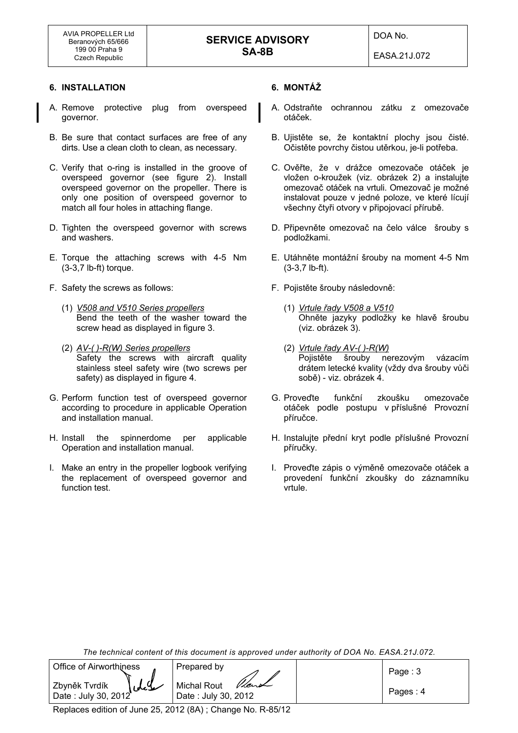EASA.21J.072

# **6. INSTALLATION**

- A. Remove protective plug from overspeed governor.
- B. Be sure that contact surfaces are free of any dirts. Use a clean cloth to clean, as necessary.
- C. Verify that o-ring is installed in the groove of overspeed governor (see figure 2). Install overspeed governor on the propeller. There is only one position of overspeed governor to match all four holes in attaching flange.
- D. Tighten the overspeed governor with screws and washers.
- E. Torque the attaching screws with 4-5 Nm (3-3,7 lb-ft) torque.
- F. Safety the screws as follows:
	- (1) *V508 and V510 Series propellers* Bend the teeth of the washer toward the screw head as displayed in figure 3.
	- (2) *AV-( )-R(W) Series propellers* Safety the screws with aircraft quality stainless steel safety wire (two screws per safety) as displayed in figure 4.
- G. Perform function test of overspeed governor according to procedure in applicable Operation and installation manual.
- H. Install the spinnerdome per applicable Operation and installation manual.
- I. Make an entry in the propeller logbook verifying the replacement of overspeed governor and function test.

# **6. MONTÁŽ**

- A. Odstraňte ochrannou zátku z omezovače otáček.
- B. Ujistěte se, že kontaktní plochy jsou čisté. Očistěte povrchy čistou utěrkou, je-li potřeba.
- C. Ověřte, že v drážce omezovače otáček je vložen o-kroužek (viz. obrázek 2) a instalujte omezovač otáček na vrtuli. Omezovač je možné instalovat pouze v jedné poloze, ve které lícují všechny čtyři otvory v připojovací přírubě.
- D. Připevněte omezovač na čelo válce šrouby s podložkami.
- E. Utáhněte montážní šrouby na moment 4-5 Nm (3-3,7 lb-ft).
- F. Pojistěte šrouby následovně:
	- (1) *Vrtule řady V508 a V510* Ohněte jazyky podložky ke hlavě šroubu (viz. obrázek 3).
	- (2) *Vrtule řady AV-( )-R(W)* Pojistěte šrouby nerezovým vázacím drátem letecké kvality (vždy dva šrouby vůči sobě) - viz. obrázek 4.
- G. Proveďte funkční zkoušku omezovače otáček podle postupu v příslušné Provozní příručce.
- H. Instalujte přední kryt podle příslušné Provozní příručky.
- I. Proveďte zápis o výměně omezovače otáček a provedení funkční zkoušky do záznamníku vrtule.

*The technical content of this document is approved under authority of DOA No. EASA.21J.072.* 

| Office of Airworthiness                     | Prepared by                                 | Page: $3$ |
|---------------------------------------------|---------------------------------------------|-----------|
| ldl<br>Zbyněk Tvrdík<br>Date: July 30, 2012 | Vient<br>Michal Rout<br>Date: July 30, 2012 | Pages: 4  |